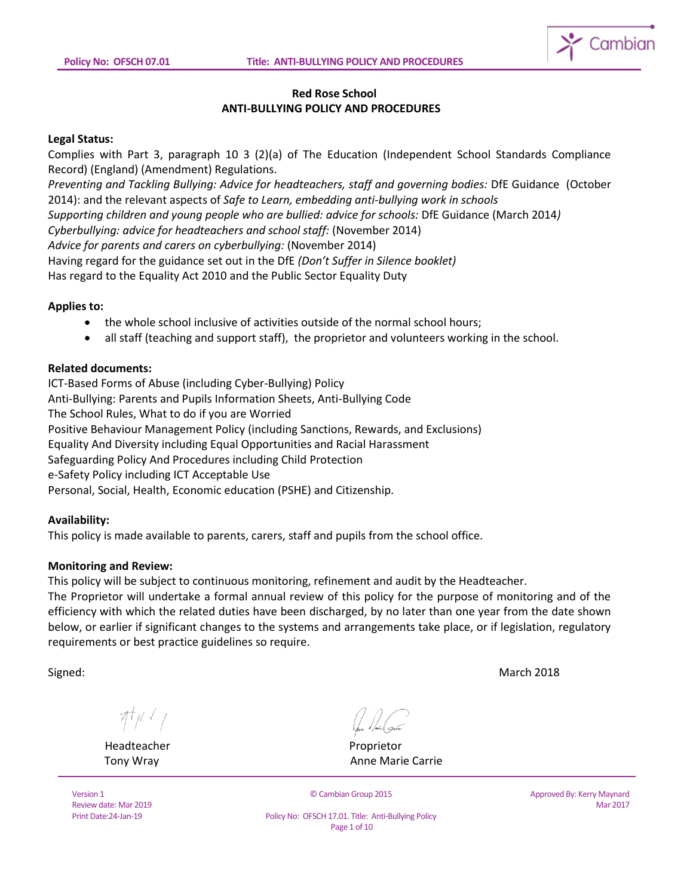

# **Red Rose School ANTI-BULLYING POLICY AND PROCEDURES**

### **Legal Status:**

Complies with Part 3, paragraph 10 3 (2)(a) of The Education (Independent School Standards Compliance Record) (England) (Amendment) Regulations.

*Preventing and Tackling Bullying: Advice for headteachers, staff and governing bodies:* DfE Guidance (October 2014): and the relevant aspects of *Safe to Learn, embedding anti-bullying work in schools*

*Supporting children and young people who are bullied: advice for schools:* DfE Guidance (March 2014*)*

*Cyberbullying: advice for headteachers and school staff:* (November 2014)

*Advice for parents and carers on cyberbullying:* (November 2014)

Having regard for the guidance set out in the DfE *(Don't Suffer in Silence booklet)*

Has regard to the Equality Act 2010 and the Public Sector Equality Duty

#### **Applies to:**

- the whole school inclusive of activities outside of the normal school hours;
- all staff (teaching and support staff), the proprietor and volunteers working in the school.

### **Related documents:**

ICT-Based Forms of Abuse (including Cyber-Bullying) Policy Anti-Bullying: Parents and Pupils Information Sheets, Anti-Bullying Code The School Rules, What to do if you are Worried Positive Behaviour Management Policy (including Sanctions, Rewards, and Exclusions) Equality And Diversity including Equal Opportunities and Racial Harassment Safeguarding Policy And Procedures including Child Protection e-Safety Policy including ICT Acceptable Use Personal, Social, Health, Economic education (PSHE) and Citizenship.

## **Availability:**

This policy is made available to parents, carers, staff and pupils from the school office.

#### **Monitoring and Review:**

This policy will be subject to continuous monitoring, refinement and audit by the Headteacher.

The Proprietor will undertake a formal annual review of this policy for the purpose of monitoring and of the efficiency with which the related duties have been discharged, by no later than one year from the date shown below, or earlier if significant changes to the systems and arrangements take place, or if legislation, regulatory requirements or best practice guidelines so require.

Signed: March 2018

 $\pi_{\mathcal{V}}$ 

Headteacher **Proprietor** Proprietor

Version 1 Review date: Mar 2019 Print Date:24-Jan-19

Tony Wray **Anne Marie Carrie** Anne Marie Carrie

© Cambian Group 2015

Approved By: Kerry Maynard Mar 2017

Policy No: OFSCH 17.01. Title: Anti-Bullying Policy Page 1 of 10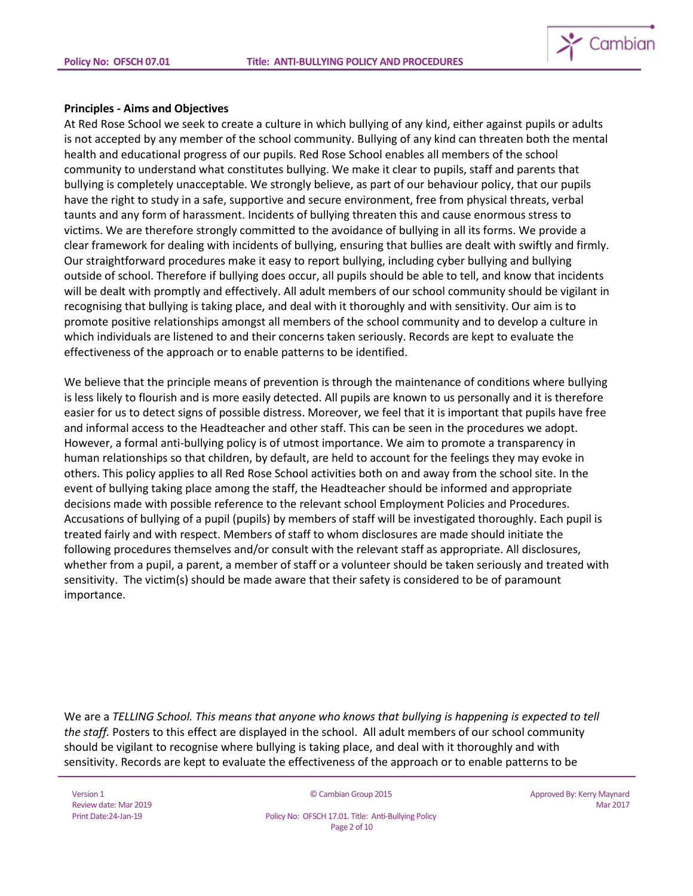

### **Principles - Aims and Objectives**

At Red Rose School we seek to create a culture in which bullying of any kind, either against pupils or adults is not accepted by any member of the school community. Bullying of any kind can threaten both the mental health and educational progress of our pupils. Red Rose School enables all members of the school community to understand what constitutes bullying. We make it clear to pupils, staff and parents that bullying is completely unacceptable. We strongly believe, as part of our behaviour policy, that our pupils have the right to study in a safe, supportive and secure environment, free from physical threats, verbal taunts and any form of harassment. Incidents of bullying threaten this and cause enormous stress to victims. We are therefore strongly committed to the avoidance of bullying in all its forms. We provide a clear framework for dealing with incidents of bullying, ensuring that bullies are dealt with swiftly and firmly. Our straightforward procedures make it easy to report bullying, including cyber bullying and bullying outside of school. Therefore if bullying does occur, all pupils should be able to tell, and know that incidents will be dealt with promptly and effectively. All adult members of our school community should be vigilant in recognising that bullying is taking place, and deal with it thoroughly and with sensitivity. Our aim is to promote positive relationships amongst all members of the school community and to develop a culture in which individuals are listened to and their concerns taken seriously. Records are kept to evaluate the effectiveness of the approach or to enable patterns to be identified.

We believe that the principle means of prevention is through the maintenance of conditions where bullying is less likely to flourish and is more easily detected. All pupils are known to us personally and it is therefore easier for us to detect signs of possible distress. Moreover, we feel that it is important that pupils have free and informal access to the Headteacher and other staff. This can be seen in the procedures we adopt. However, a formal anti-bullying policy is of utmost importance. We aim to promote a transparency in human relationships so that children, by default, are held to account for the feelings they may evoke in others. This policy applies to all Red Rose School activities both on and away from the school site. In the event of bullying taking place among the staff, the Headteacher should be informed and appropriate decisions made with possible reference to the relevant school Employment Policies and Procedures. Accusations of bullying of a pupil (pupils) by members of staff will be investigated thoroughly. Each pupil is treated fairly and with respect. Members of staff to whom disclosures are made should initiate the following procedures themselves and/or consult with the relevant staff as appropriate. All disclosures, whether from a pupil, a parent, a member of staff or a volunteer should be taken seriously and treated with sensitivity. The victim(s) should be made aware that their safety is considered to be of paramount importance.

We are a *TELLING School. This means that anyone who knows that bullying is happening is expected to tell the staff.* Posters to this effect are displayed in the school. All adult members of our school community should be vigilant to recognise where bullying is taking place, and deal with it thoroughly and with sensitivity. Records are kept to evaluate the effectiveness of the approach or to enable patterns to be

© Cambian Group 2015

Policy No: OFSCH 17.01. Title: Anti-Bullying Policy Page 2 of 10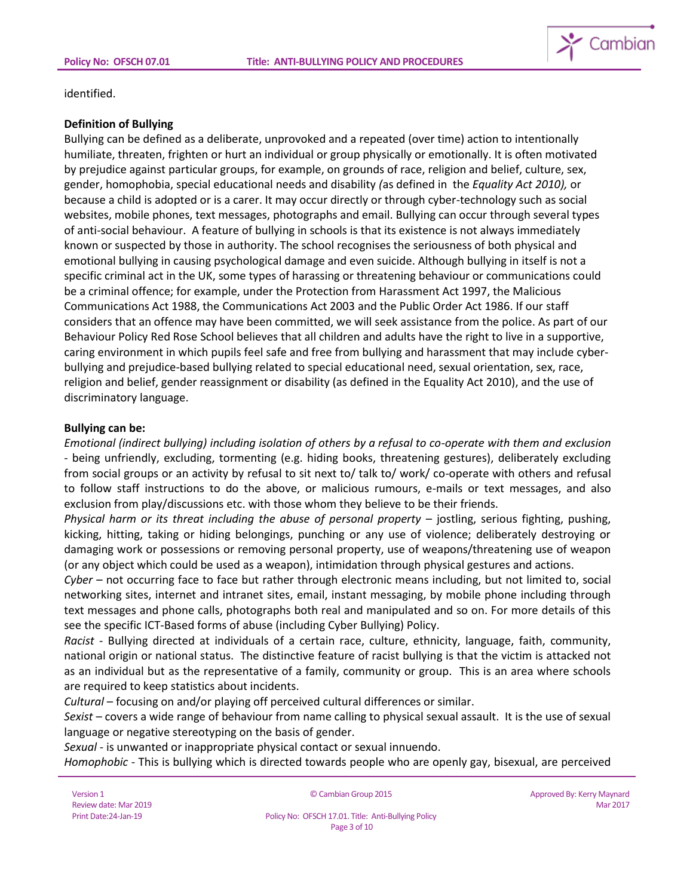

identified.

### **Definition of Bullying**

Bullying can be defined as a deliberate, unprovoked and a repeated (over time) action to intentionally humiliate, threaten, frighten or hurt an individual or group physically or emotionally. It is often motivated by prejudice against particular groups, for example, on grounds of race, religion and belief, culture, sex, gender, homophobia, special educational needs and disability *(*as defined in the *Equality Act 2010),* or because a child is adopted or is a carer. It may occur directly or through cyber-technology such as social websites, mobile phones, text messages, photographs and email. Bullying can occur through several types of anti-social behaviour. A feature of bullying in schools is that its existence is not always immediately known or suspected by those in authority. The school recognises the seriousness of both physical and emotional bullying in causing psychological damage and even suicide. Although bullying in itself is not a specific criminal act in the UK, some types of harassing or threatening behaviour or communications could be a criminal offence; for example, under the Protection from Harassment Act 1997, the Malicious Communications Act 1988, the Communications Act 2003 and the Public Order Act 1986. If our staff considers that an offence may have been committed, we will seek assistance from the police. As part of our Behaviour Policy Red Rose School believes that all children and adults have the right to live in a supportive, caring environment in which pupils feel safe and free from bullying and harassment that may include cyberbullying and prejudice-based bullying related to special educational need, sexual orientation, sex, race, religion and belief, gender reassignment or disability (as defined in the Equality Act 2010), and the use of discriminatory language.

## **Bullying can be:**

*Emotional (indirect bullying) including isolation of others by a refusal to co-operate with them and exclusion*  - being unfriendly, excluding, tormenting (e.g. hiding books, threatening gestures), deliberately excluding from social groups or an activity by refusal to sit next to/ talk to/ work/ co-operate with others and refusal to follow staff instructions to do the above, or malicious rumours, e-mails or text messages, and also exclusion from play/discussions etc. with those whom they believe to be their friends.

*Physical harm or its threat including the abuse of personal property* – jostling, serious fighting, pushing, kicking, hitting, taking or hiding belongings, punching or any use of violence; deliberately destroying or damaging work or possessions or removing personal property, use of weapons/threatening use of weapon (or any object which could be used as a weapon), intimidation through physical gestures and actions.

*Cyber* – not occurring face to face but rather through electronic means including, but not limited to, social networking sites, internet and intranet sites, email, instant messaging, by mobile phone including through text messages and phone calls, photographs both real and manipulated and so on. For more details of this see the specific ICT-Based forms of abuse (including Cyber Bullying) Policy.

*Racist* - Bullying directed at individuals of a certain race, culture, ethnicity, language, faith, community, national origin or national status. The distinctive feature of racist bullying is that the victim is attacked not as an individual but as the representative of a family, community or group. This is an area where schools are required to keep statistics about incidents.

*Cultural* – focusing on and/or playing off perceived cultural differences or similar.

*Sexist* – covers a wide range of behaviour from name calling to physical sexual assault. It is the use of sexual language or negative stereotyping on the basis of gender.

*Sexual* - is unwanted or inappropriate physical contact or sexual innuendo.

*Homophobic* - This is bullying which is directed towards people who are openly gay, bisexual, are perceived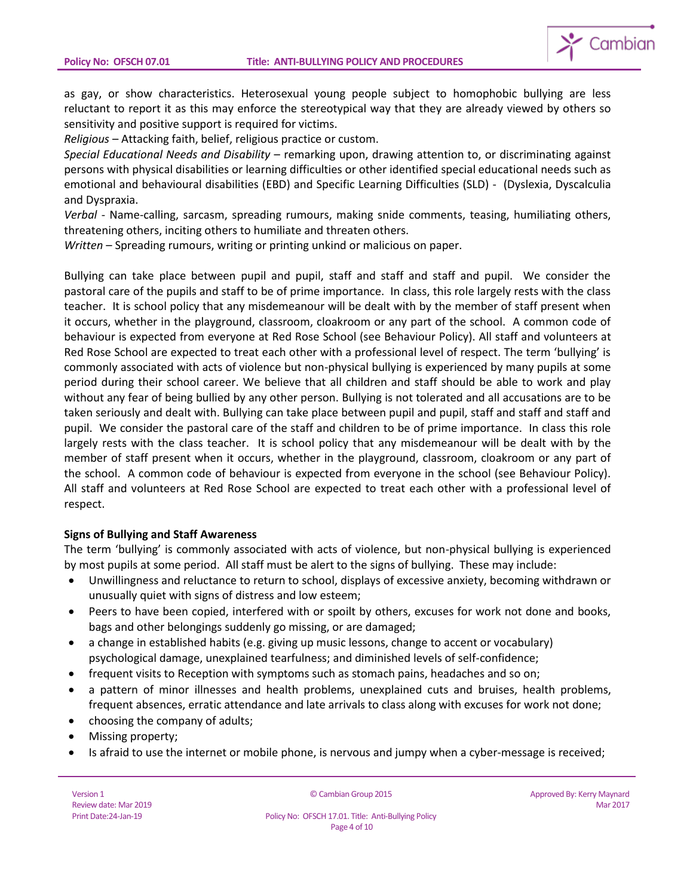

as gay, or show characteristics. Heterosexual young people subject to homophobic bullying are less reluctant to report it as this may enforce the stereotypical way that they are already viewed by others so sensitivity and positive support is required for victims.

*Religious* – Attacking faith, belief, religious practice or custom.

*Special Educational Needs and Disability* – remarking upon, drawing attention to, or discriminating against persons with physical disabilities or learning difficulties or other identified special educational needs such as emotional and behavioural disabilities (EBD) and Specific Learning Difficulties (SLD) - (Dyslexia, Dyscalculia and Dyspraxia.

*Verbal* - Name-calling, sarcasm, spreading rumours, making snide comments, teasing, humiliating others, threatening others, inciting others to humiliate and threaten others.

*Written* – Spreading rumours, writing or printing unkind or malicious on paper.

Bullying can take place between pupil and pupil, staff and staff and staff and pupil. We consider the pastoral care of the pupils and staff to be of prime importance. In class, this role largely rests with the class teacher. It is school policy that any misdemeanour will be dealt with by the member of staff present when it occurs, whether in the playground, classroom, cloakroom or any part of the school. A common code of behaviour is expected from everyone at Red Rose School (see Behaviour Policy). All staff and volunteers at Red Rose School are expected to treat each other with a professional level of respect. The term 'bullying' is commonly associated with acts of violence but non-physical bullying is experienced by many pupils at some period during their school career. We believe that all children and staff should be able to work and play without any fear of being bullied by any other person. Bullying is not tolerated and all accusations are to be taken seriously and dealt with. Bullying can take place between pupil and pupil, staff and staff and staff and pupil. We consider the pastoral care of the staff and children to be of prime importance. In class this role largely rests with the class teacher. It is school policy that any misdemeanour will be dealt with by the member of staff present when it occurs, whether in the playground, classroom, cloakroom or any part of the school. A common code of behaviour is expected from everyone in the school (see Behaviour Policy). All staff and volunteers at Red Rose School are expected to treat each other with a professional level of respect.

## **Signs of Bullying and Staff Awareness**

The term 'bullying' is commonly associated with acts of violence, but non-physical bullying is experienced by most pupils at some period. All staff must be alert to the signs of bullying. These may include:

- Unwillingness and reluctance to return to school, displays of excessive anxiety, becoming withdrawn or unusually quiet with signs of distress and low esteem;
- Peers to have been copied, interfered with or spoilt by others, excuses for work not done and books, bags and other belongings suddenly go missing, or are damaged;
- a change in established habits (e.g. giving up music lessons, change to accent or vocabulary) psychological damage, unexplained tearfulness; and diminished levels of self-confidence;
- frequent visits to Reception with symptoms such as stomach pains, headaches and so on;
- a pattern of minor illnesses and health problems, unexplained cuts and bruises, health problems, frequent absences, erratic attendance and late arrivals to class along with excuses for work not done;
- choosing the company of adults;
- Missing property;
- Is afraid to use the internet or mobile phone, is nervous and jumpy when a cyber-message is received;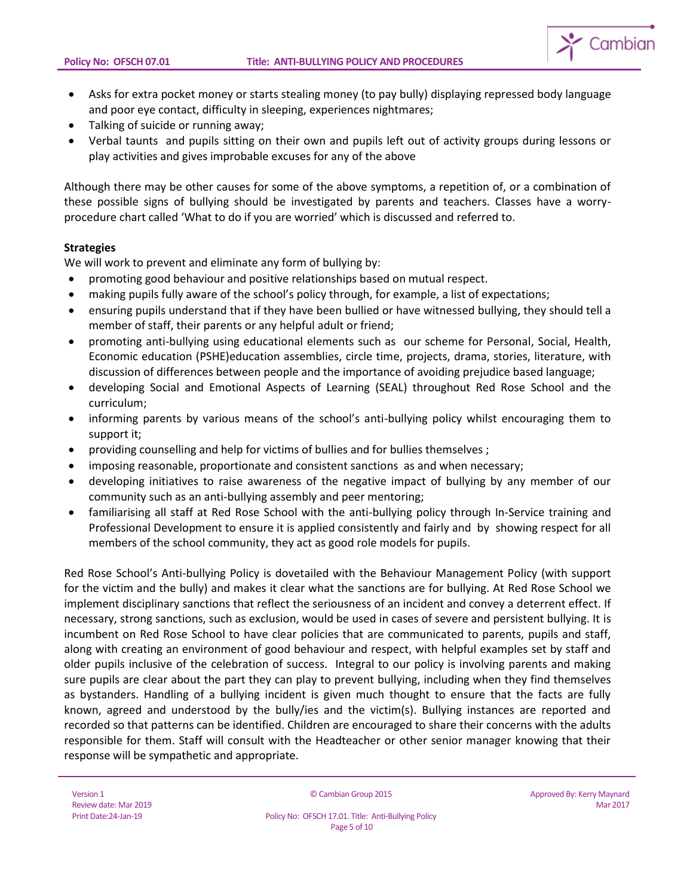

- Asks for extra pocket money or starts stealing money (to pay bully) displaying repressed body language and poor eye contact, difficulty in sleeping, experiences nightmares;
- Talking of suicide or running away;
- Verbal taunts and pupils sitting on their own and pupils left out of activity groups during lessons or play activities and gives improbable excuses for any of the above

Although there may be other causes for some of the above symptoms, a repetition of, or a combination of these possible signs of bullying should be investigated by parents and teachers. Classes have a worryprocedure chart called 'What to do if you are worried' which is discussed and referred to.

## **Strategies**

We will work to prevent and eliminate any form of bullying by:

- promoting good behaviour and positive relationships based on mutual respect.
- making pupils fully aware of the school's policy through, for example, a list of expectations;
- ensuring pupils understand that if they have been bullied or have witnessed bullying, they should tell a member of staff, their parents or any helpful adult or friend;
- promoting anti-bullying using educational elements such as our scheme for Personal, Social, Health, Economic education (PSHE)education assemblies, circle time, projects, drama, stories, literature, with discussion of differences between people and the importance of avoiding prejudice based language;
- developing Social and Emotional Aspects of Learning (SEAL) throughout Red Rose School and the curriculum;
- informing parents by various means of the school's anti-bullying policy whilst encouraging them to support it;
- providing counselling and help for victims of bullies and for bullies themselves ;
- imposing reasonable, proportionate and consistent sanctions as and when necessary;
- developing initiatives to raise awareness of the negative impact of bullying by any member of our community such as an anti-bullying assembly and peer mentoring;
- familiarising all staff at Red Rose School with the anti-bullying policy through In-Service training and Professional Development to ensure it is applied consistently and fairly and by showing respect for all members of the school community, they act as good role models for pupils.

Red Rose School's Anti-bullying Policy is dovetailed with the Behaviour Management Policy (with support for the victim and the bully) and makes it clear what the sanctions are for bullying. At Red Rose School we implement disciplinary sanctions that reflect the seriousness of an incident and convey a deterrent effect. If necessary, strong sanctions, such as exclusion, would be used in cases of severe and persistent bullying. It is incumbent on Red Rose School to have clear policies that are communicated to parents, pupils and staff, along with creating an environment of good behaviour and respect, with helpful examples set by staff and older pupils inclusive of the celebration of success. Integral to our policy is involving parents and making sure pupils are clear about the part they can play to prevent bullying, including when they find themselves as bystanders. Handling of a bullying incident is given much thought to ensure that the facts are fully known, agreed and understood by the bully/ies and the victim(s). Bullying instances are reported and recorded so that patterns can be identified. Children are encouraged to share their concerns with the adults responsible for them. Staff will consult with the Headteacher or other senior manager knowing that their response will be sympathetic and appropriate.

© Cambian Group 2015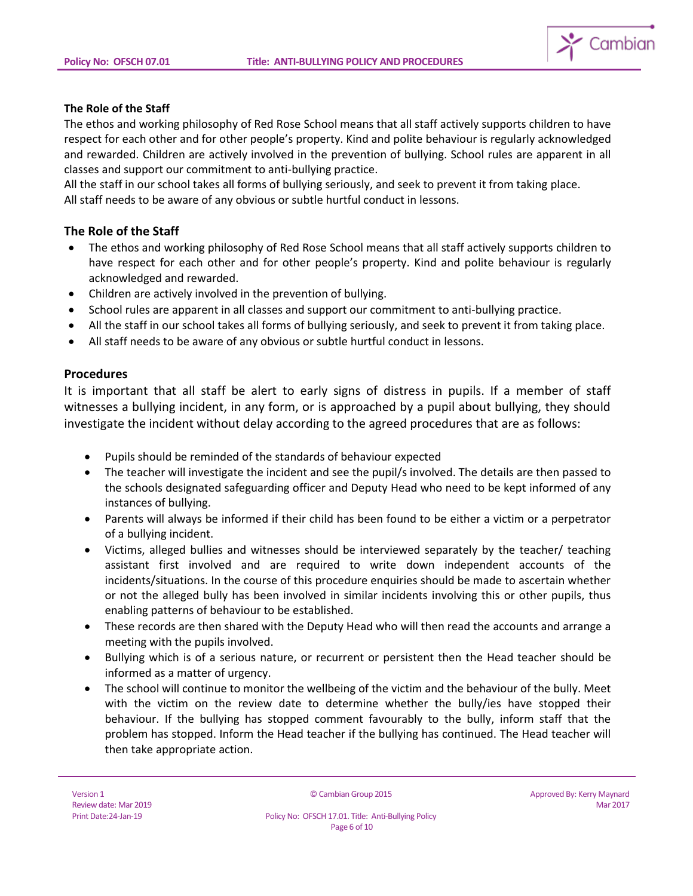

## **The Role of the Staff**

The ethos and working philosophy of Red Rose School means that all staff actively supports children to have respect for each other and for other people's property. Kind and polite behaviour is regularly acknowledged and rewarded. Children are actively involved in the prevention of bullying. School rules are apparent in all classes and support our commitment to anti-bullying practice.

All the staff in our school takes all forms of bullying seriously, and seek to prevent it from taking place. All staff needs to be aware of any obvious or subtle hurtful conduct in lessons.

## **The Role of the Staff**

- The ethos and working philosophy of Red Rose School means that all staff actively supports children to have respect for each other and for other people's property. Kind and polite behaviour is regularly acknowledged and rewarded.
- Children are actively involved in the prevention of bullying.
- School rules are apparent in all classes and support our commitment to anti-bullying practice.
- All the staff in our school takes all forms of bullying seriously, and seek to prevent it from taking place.
- All staff needs to be aware of any obvious or subtle hurtful conduct in lessons.

## **Procedures**

It is important that all staff be alert to early signs of distress in pupils. If a member of staff witnesses a bullying incident, in any form, or is approached by a pupil about bullying, they should investigate the incident without delay according to the agreed procedures that are as follows:

- Pupils should be reminded of the standards of behaviour expected
- The teacher will investigate the incident and see the pupil/s involved. The details are then passed to the schools designated safeguarding officer and Deputy Head who need to be kept informed of any instances of bullying.
- Parents will always be informed if their child has been found to be either a victim or a perpetrator of a bullying incident.
- Victims, alleged bullies and witnesses should be interviewed separately by the teacher/ teaching assistant first involved and are required to write down independent accounts of the incidents/situations. In the course of this procedure enquiries should be made to ascertain whether or not the alleged bully has been involved in similar incidents involving this or other pupils, thus enabling patterns of behaviour to be established.
- These records are then shared with the Deputy Head who will then read the accounts and arrange a meeting with the pupils involved.
- Bullying which is of a serious nature, or recurrent or persistent then the Head teacher should be informed as a matter of urgency.
- The school will continue to monitor the wellbeing of the victim and the behaviour of the bully. Meet with the victim on the review date to determine whether the bully/ies have stopped their behaviour. If the bullying has stopped comment favourably to the bully, inform staff that the problem has stopped. Inform the Head teacher if the bullying has continued. The Head teacher will then take appropriate action.

© Cambian Group 2015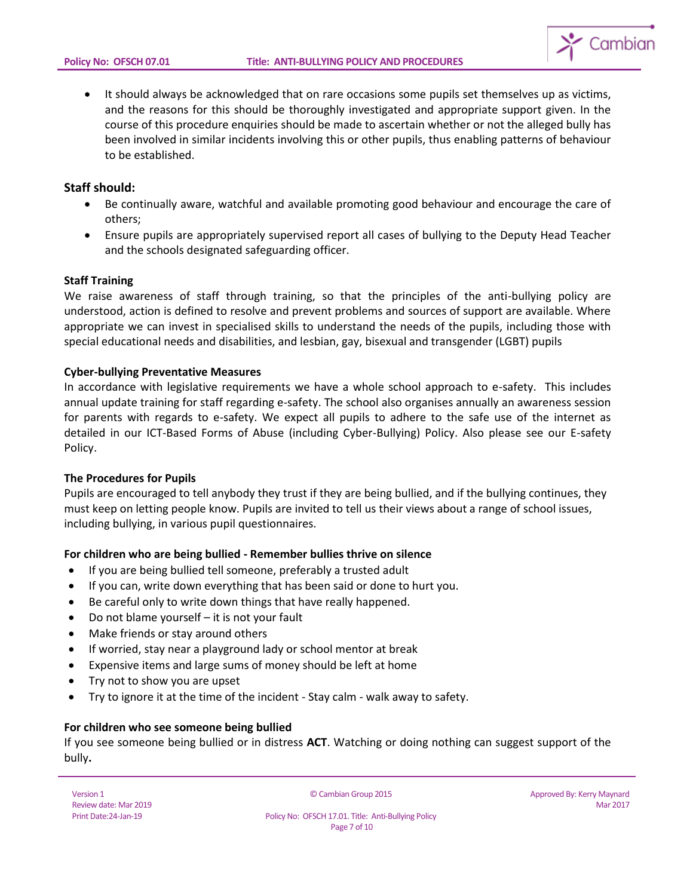

• It should always be acknowledged that on rare occasions some pupils set themselves up as victims, and the reasons for this should be thoroughly investigated and appropriate support given. In the course of this procedure enquiries should be made to ascertain whether or not the alleged bully has been involved in similar incidents involving this or other pupils, thus enabling patterns of behaviour to be established.

## **Staff should:**

- Be continually aware, watchful and available promoting good behaviour and encourage the care of others;
- Ensure pupils are appropriately supervised report all cases of bullying to the Deputy Head Teacher and the schools designated safeguarding officer.

## **Staff Training**

We raise awareness of staff through training, so that the principles of the anti-bullying policy are understood, action is defined to resolve and prevent problems and sources of support are available. Where appropriate we can invest in specialised skills to understand the needs of the pupils, including those with special educational needs and disabilities, and lesbian, gay, bisexual and transgender (LGBT) pupils

#### **Cyber-bullying Preventative Measures**

In accordance with legislative requirements we have a whole school approach to e-safety. This includes annual update training for staff regarding e-safety. The school also organises annually an awareness session for parents with regards to e-safety. We expect all pupils to adhere to the safe use of the internet as detailed in our ICT-Based Forms of Abuse (including Cyber-Bullying) Policy. Also please see our E-safety Policy.

## **The Procedures for Pupils**

Pupils are encouraged to tell anybody they trust if they are being bullied, and if the bullying continues, they must keep on letting people know. Pupils are invited to tell us their views about a range of school issues, including bullying, in various pupil questionnaires.

## **For children who are being bullied - Remember bullies thrive on silence**

- If you are being bullied tell someone, preferably a trusted adult
- If you can, write down everything that has been said or done to hurt you.
- Be careful only to write down things that have really happened.
- Do not blame yourself it is not your fault
- Make friends or stay around others
- If worried, stay near a playground lady or school mentor at break
- Expensive items and large sums of money should be left at home
- Try not to show you are upset
- Try to ignore it at the time of the incident Stay calm walk away to safety.

### **For children who see someone being bullied**

If you see someone being bullied or in distress **ACT**. Watching or doing nothing can suggest support of the bully**.**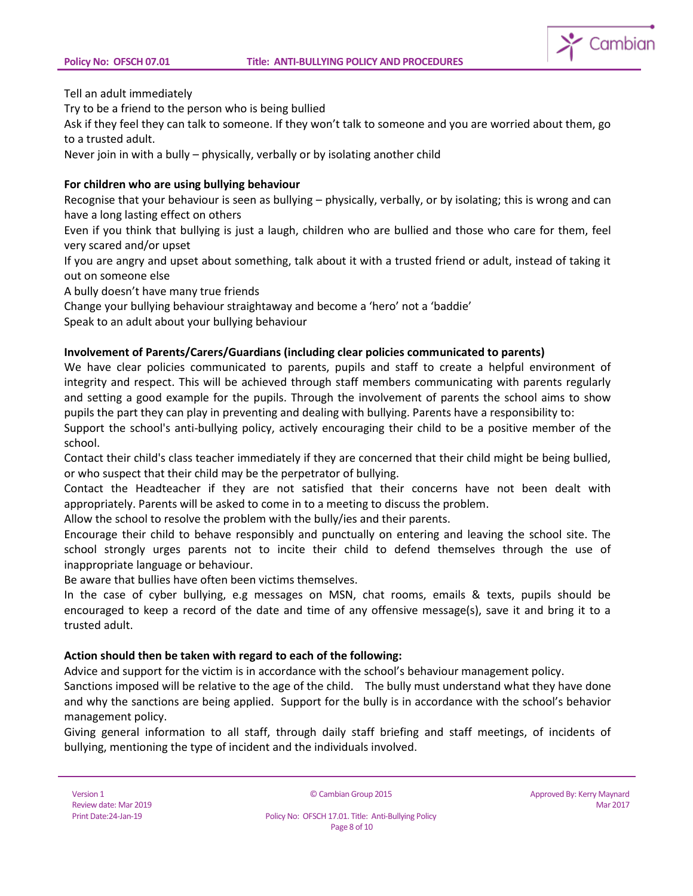

Tell an adult immediately

Try to be a friend to the person who is being bullied

Ask if they feel they can talk to someone. If they won't talk to someone and you are worried about them, go to a trusted adult.

Never join in with a bully – physically, verbally or by isolating another child

# **For children who are using bullying behaviour**

Recognise that your behaviour is seen as bullying – physically, verbally, or by isolating; this is wrong and can have a long lasting effect on others

Even if you think that bullying is just a laugh, children who are bullied and those who care for them, feel very scared and/or upset

If you are angry and upset about something, talk about it with a trusted friend or adult, instead of taking it out on someone else

A bully doesn't have many true friends

Change your bullying behaviour straightaway and become a 'hero' not a 'baddie'

Speak to an adult about your bullying behaviour

# **Involvement of Parents/Carers/Guardians (including clear policies communicated to parents)**

We have clear policies communicated to parents, pupils and staff to create a helpful environment of integrity and respect. This will be achieved through staff members communicating with parents regularly and setting a good example for the pupils. Through the involvement of parents the school aims to show pupils the part they can play in preventing and dealing with bullying. Parents have a responsibility to:

Support the school's anti-bullying policy, actively encouraging their child to be a positive member of the school.

Contact their child's class teacher immediately if they are concerned that their child might be being bullied, or who suspect that their child may be the perpetrator of bullying.

Contact the Headteacher if they are not satisfied that their concerns have not been dealt with appropriately. Parents will be asked to come in to a meeting to discuss the problem.

Allow the school to resolve the problem with the bully/ies and their parents.

Encourage their child to behave responsibly and punctually on entering and leaving the school site. The school strongly urges parents not to incite their child to defend themselves through the use of inappropriate language or behaviour.

Be aware that bullies have often been victims themselves.

In the case of cyber bullying, e.g messages on MSN, chat rooms, emails & texts, pupils should be encouraged to keep a record of the date and time of any offensive message(s), save it and bring it to a trusted adult.

# **Action should then be taken with regard to each of the following:**

Advice and support for the victim is in accordance with the school's behaviour management policy.

Sanctions imposed will be relative to the age of the child. The bully must understand what they have done and why the sanctions are being applied. Support for the bully is in accordance with the school's behavior management policy.

Giving general information to all staff, through daily staff briefing and staff meetings, of incidents of bullying, mentioning the type of incident and the individuals involved.

© Cambian Group 2015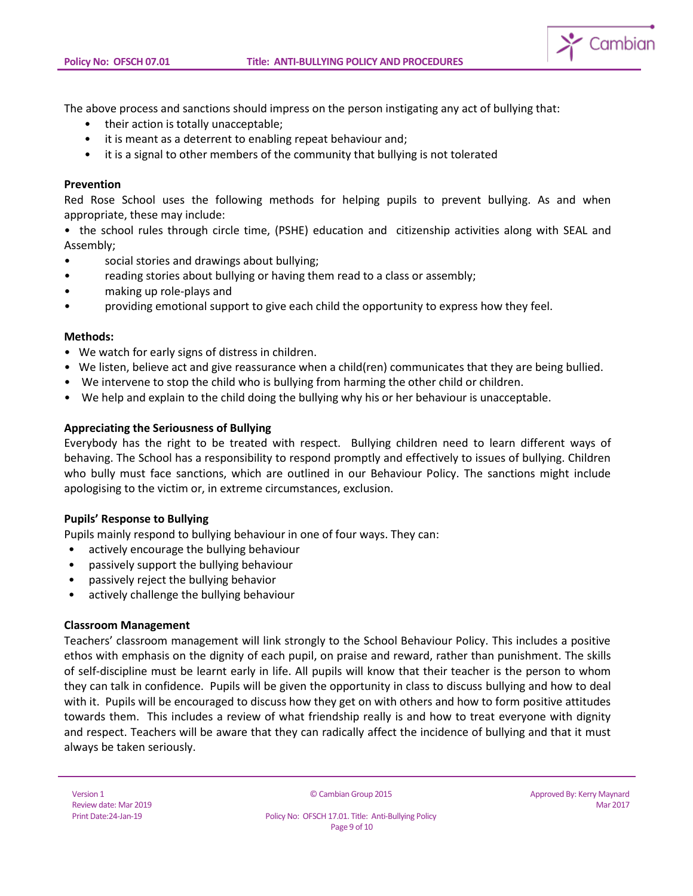

The above process and sanctions should impress on the person instigating any act of bullying that:

- their action is totally unacceptable;
- it is meant as a deterrent to enabling repeat behaviour and;
- it is a signal to other members of the community that bullying is not tolerated

#### **Prevention**

Red Rose School uses the following methods for helping pupils to prevent bullying. As and when appropriate, these may include:

• the school rules through circle time, (PSHE) education and citizenship activities along with SEAL and Assembly;

- social stories and drawings about bullying;
- reading stories about bullying or having them read to a class or assembly;
- making up role-plays and
- providing emotional support to give each child the opportunity to express how they feel.

#### **Methods:**

- We watch for early signs of distress in children.
- We listen, believe act and give reassurance when a child(ren) communicates that they are being bullied.
- We intervene to stop the child who is bullying from harming the other child or children.
- We help and explain to the child doing the bullying why his or her behaviour is unacceptable.

## **Appreciating the Seriousness of Bullying**

Everybody has the right to be treated with respect. Bullying children need to learn different ways of behaving. The School has a responsibility to respond promptly and effectively to issues of bullying. Children who bully must face sanctions, which are outlined in our Behaviour Policy. The sanctions might include apologising to the victim or, in extreme circumstances, exclusion.

## **Pupils' Response to Bullying**

Pupils mainly respond to bullying behaviour in one of four ways. They can:

- actively encourage the bullying behaviour
- passively support the bullying behaviour
- passively reject the bullying behavior
- actively challenge the bullying behaviour

#### **Classroom Management**

Teachers' classroom management will link strongly to the School Behaviour Policy. This includes a positive ethos with emphasis on the dignity of each pupil, on praise and reward, rather than punishment. The skills of self-discipline must be learnt early in life. All pupils will know that their teacher is the person to whom they can talk in confidence. Pupils will be given the opportunity in class to discuss bullying and how to deal with it. Pupils will be encouraged to discuss how they get on with others and how to form positive attitudes towards them. This includes a review of what friendship really is and how to treat everyone with dignity and respect. Teachers will be aware that they can radically affect the incidence of bullying and that it must always be taken seriously.